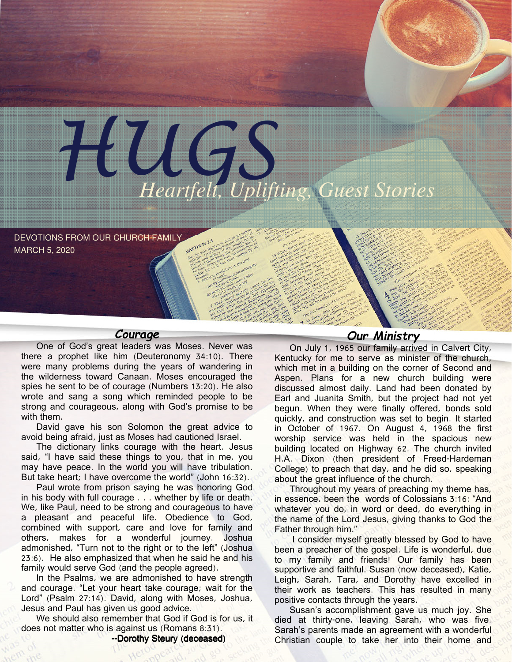

DEVOTIONS FROM OUR CHURCH FAMILY MARCH 5, 2020

#### Courage

One of God's great leaders was Moses. Never was there a prophet like him (Deuteronomy 34:10). There were many problems during the years of wandering in the wilderness toward Canaan. Moses encouraged the spies he sent to be of courage (Numbers 13:20). He also wrote and sang a song which reminded people to be strong and courageous, along with God's promise to be with them.

David gave his son Solomon the great advice to avoid being afraid, just as Moses had cautioned Israel.

The dictionary links courage with the heart. Jesus said, "I have said these things to you, that in me, you may have peace. In the world you will have tribulation. But take heart; I have overcome the world" (John 16:32).

Paul wrote from prison saying he was honoring God in his body with full courage . . . whether by life or death. We, like Paul, need to be strong and courageous to have a pleasant and peaceful life. Obedience to God, combined with support, care and love for family and others, makes for a wonderful journey. Joshua admonished, "Turn not to the right or to the left" (Joshua 23:6). He also emphasized that when he said he and his family would serve God (and the people agreed).

In the Psalms, we are admonished to have strength and courage. "Let your heart take courage; wait for the Lord" (Psalm 27:14). David, along with Moses, Joshua, Jesus and Paul has given us good advice.

We should also remember that God if God is for us, it does not matter who is against us (Romans 8:31).

--Dorothy Steury (deceased)

## Our Ministry

On July 1, 1965 our family arrived in Calvert City, Kentucky for me to serve as minister of the church, which met in a building on the corner of Second and Aspen. Plans for a new church building were discussed almost daily. Land had been donated by Earl and Juanita Smith, but the project had not yet begun. When they were finally offered, bonds sold quickly, and construction was set to begin. It started in October of 1967. On August 4, 1968 the first worship service was held in the spacious new building located on Highway 62. The church invited H.A. Dixon (then president of Freed-Hardeman College) to preach that day, and he did so, speaking about the great influence of the church.

Throughout my years of preaching my theme has, in essence, been the words of Colossians 3:16: "And whatever you do, in word or deed, do everything in the name of the Lord Jesus, giving thanks to God the Father through him."

I consider myself greatly blessed by God to have been a preacher of the gospel. Life is wonderful, due to my family and friends! Our family has been supportive and faithful. Susan (now deceased), Katie, Leigh, Sarah, Tara, and Dorothy have excelled in their work as teachers. This has resulted in many positive contacts through the years.

Susan's accomplishment gave us much joy. She died at thirty-one, leaving Sarah, who was five. Sarah's parents made an agreement with a wonderful Christian couple to take her into their home and

encourage her through public school and Free